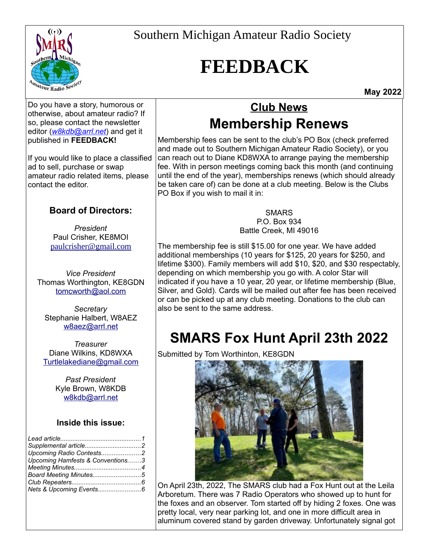

# **FEEDBACK**

**May 2022**

Do you have a story, humorous or otherwise, about amateur radio? If so, please contact the newsletter editor (*[w8kdb@arrl.net](mailto:w8kdb@arrl.net?subject=Feedback%20Editor)*) and get it published in **FEEDBACK!**

If you would like to place a classified ad to sell, purchase or swap amateur radio related items, please contact the editor.

### **Board of Directors:**

*President* Paul Crisher, KE8MOI [paulcrisher@gmail.com](mailto:paulcrisher@gmail.com)

*Vice President* Thomas Worthington, KE8GDN [tomcworth@aol.com](mailto:tomcworth@aol.com)

*Secretary* Stephanie Halbert, W8AEZ w8aez@arrl.net

*Treasurer* Diane Wilkins, KD8WXA [Turtlelakediane@gmail.com](mailto:Turtlelakediane@gmail.com)

> *Past President* Kyle Brown, W8KDB [w8kdb@arrl.net](mailto:w8kdb@arrl.net)

#### **Inside this issue:**

| Upcoming Radio Contests2         |  |
|----------------------------------|--|
| Upcoming Hamfests & Conventions3 |  |
|                                  |  |
| Board Meeting Minutes5           |  |
|                                  |  |
|                                  |  |

### **Club News Membership Renews**

Membership fees can be sent to the club's PO Box (check preferred and made out to Southern Michigan Amateur Radio Society), or you can reach out to Diane KD8WXA to arrange paying the membership fee. With in person meetings coming back this month (and continuing until the end of the year), memberships renews (which should already be taken care of) can be done at a club meeting. Below is the Clubs PO Box if you wish to mail it in:

#### **SMARS**

P.O. Box 934 Battle Creek, MI 49016

The membership fee is still \$15.00 for one year. We have added additional memberships (10 years for \$125, 20 years for \$250, and lifetime \$300). Family members will add \$10, \$20, and \$30 respectably, depending on which membership you go with. A color Star will indicated if you have a 10 year, 20 year, or lifetime membership (Blue, Silver, and Gold). Cards will be mailed out after fee has been received or can be picked up at any club meeting. Donations to the club can also be sent to the same address.

### **SMARS Fox Hunt April 23th 2022**

Submitted by Tom Worthinton, KE8GDN



On April 23th, 2022, The SMARS club had a Fox Hunt out at the Leila Arboretum. There was 7 Radio Operators who showed up to hunt for the foxes and an observer. Tom started off by hiding 2 foxes. One was pretty local, very near parking lot, and one in more difficult area in aluminum covered stand by garden driveway. Unfortunately signal got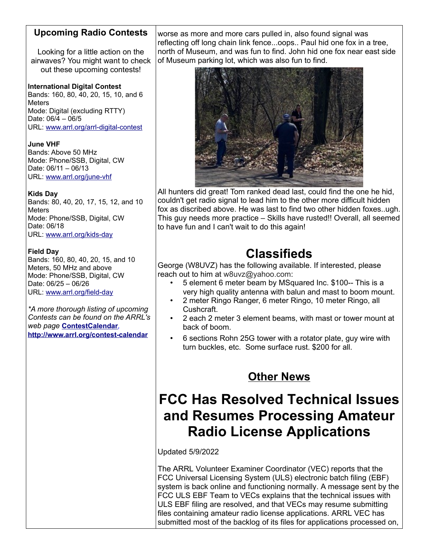#### **Upcoming Radio Contests**

Looking for a little action on the airwaves? You might want to check out these upcoming contests!

#### **International Digital Contest**

Bands: 160, 80, 40, 20, 15, 10, and 6 **Meters** Mode: Digital (excluding RTTY) Date: 06/4 – 06/5 URL: [www.arrl.org/arrl-digital-contest](http://www.arrl.org/arrl-digital-contest)

**June VHF** Bands: Above 50 MHz Mode: Phone/SSB, Digital, CW Date: 06/11 – 06/13

URL: [www.arrl.org/june-vhf](http://www.arrl.org/june-vhf)

#### **Kids Day**

Bands: 80, 40, 20, 17, 15, 12, and 10 **Meters** Mode: Phone/SSB, Digital, CW Date: 06/18 URL: [www.arrl.org/kids-day](http://www.arrl.org/kids-day)

#### **Field Day**

Bands: 160, 80, 40, 20, 15, and 10 Meters, 50 MHz and above Mode: Phone/SSB, Digital, CW Date: 06/25 – 06/26 URL: [www.arrl.org/field-day](http://www.arrl.org/field-day)

*\*A more thorough listing of upcoming Contests can be found on the ARRL's web page* **[ContestCalendar](http://www.arrl.org/contest-calendar)***,*  **<http://www.arrl.org/contest-calendar>**

worse as more and more cars pulled in, also found signal was reflecting off long chain link fence...oops.. Paul hid one fox in a tree, north of Museum, and was fun to find. John hid one fox near east side of Museum parking lot, which was also fun to find.



All hunters did great! Tom ranked dead last, could find the one he hid, couldn't get radio signal to lead him to the other more difficult hidden fox as discribed above. He was last to find two other hidden foxes..ugh. This guy needs more practice – Skills have rusted!! Overall, all seemed to have fun and I can't wait to do this again!

### **Classifieds**

George (W8UVZ) has the following available. If interested, please reach out to him at w8uvz@yahoo.com:

- 5 element 6 meter beam by MSquared Inc. \$100-- This is a very high quality antenna with balun and mast to boom mount.
- 2 meter Ringo Ranger, 6 meter Ringo, 10 meter Ringo, all Cushcraft.
- 2 each 2 meter 3 element beams, with mast or tower mount at back of boom.
- 6 sections Rohn 25G tower with a rotator plate, guy wire with turn buckles, etc. Some surface rust. \$200 for all.

### **Other News**

### **FCC Has Resolved Technical Issues and Resumes Processing Amateur Radio License Applications**

Updated 5/9/2022

The ARRL Volunteer Examiner Coordinator (VEC) reports that the FCC Universal Licensing System (ULS) electronic batch filing (EBF) system is back online and functioning normally. A message sent by the FCC ULS EBF Team to VECs explains that the technical issues with ULS EBF filing are resolved, and that VECs may resume submitting files containing amateur radio license applications. ARRL VEC has submitted most of the backlog of its files for applications processed on,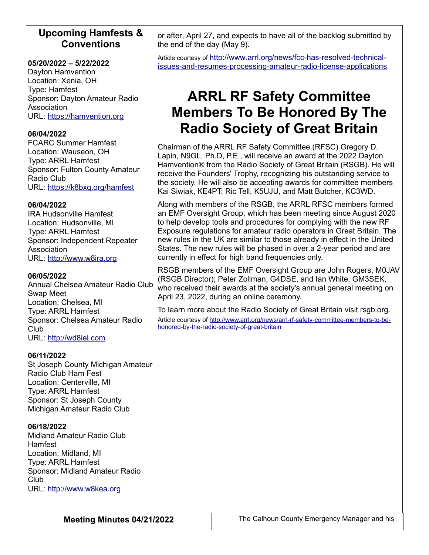#### **Upcoming Hamfests & Conventions**

#### **05/20/2022 – 5/22/2022**

Dayton Hamvention Location: Xenia, OH Type: Hamfest Sponsor: Dayton Amateur Radio Association URL: [https://hamvention.org](https://hamvention.org/)

#### **06/04/2022**

FCARC Summer Hamfest Location: Wauseon, OH Type: ARRL Hamfest Sponsor: Fulton County Amateur Radio Club URL: <https://k8bxq.org/hamfest>

#### **06/04/2022**

IRA Hudsonville Hamfest Location: Hudsonville, MI Type: ARRL Hamfest Sponsor: Independent Repeater Association URL: [http://www.w8ira.org](http://www.w8ira.org/)

#### **06/05/2022**

Annual Chelsea Amateur Radio Club Swap Meet Location: Chelsea, MI Type: ARRL Hamfest Sponsor: Chelsea Amateur Radio Club URL: [http://wd8iel.com](http://wd8iel.com/)

#### **06/11/2022**

St Joseph County Michigan Amateur Radio Club Ham Fest Location: Centerville, MI Type: ARRL Hamfest Sponsor: St Joseph County Michigan Amateur Radio Club

#### **06/18/2022**

Midland Amateur Radio Club Hamfest Location: Midland, MI Type: ARRL Hamfest Sponsor: Midland Amateur Radio Club URL: [http://www.w8kea.org](http://www.w8kea.org/)

or after, April 27, and expects to have all of the backlog submitted by the end of the day (May 9).

Article courtesy of [http://www.arrl.org/news/fcc-has-resolved-technical](http://www.arrl.org/news/fcc-has-resolved-technical-issues-and-resumes-processing-amateur-radio-license-applications)[issues-and-resumes-processing-amateur-radio-license-applications](http://www.arrl.org/news/fcc-has-resolved-technical-issues-and-resumes-processing-amateur-radio-license-applications)

### **ARRL RF Safety Committee Members To Be Honored By The Radio Society of Great Britain**

Chairman of the ARRL RF Safety Committee (RFSC) Gregory D. Lapin, N9GL, Ph.D, P.E., will receive an award at the 2022 Dayton Hamvention® from the Radio Society of Great Britain (RSGB). He will receive the Founders' Trophy, recognizing his outstanding service to the society. He will also be accepting awards for committee members Kai Siwiak, KE4PT; Ric Tell, K5UJU, and Matt Butcher, KC3WD.

Along with members of the RSGB, the ARRL RFSC members formed an EMF Oversight Group, which has been meeting since August 2020 to help develop tools and procedures for complying with the new RF Exposure regulations for amateur radio operators in Great Britain. The new rules in the UK are similar to those already in effect in the United States. The new rules will be phased in over a 2-year period and are currently in effect for high band frequencies only.

RSGB members of the EMF Oversight Group are John Rogers, M0JAV (RSGB Director); Peter Zollman, G4DSE, and Ian White, GM3SEK, who received their awards at the society's annual general meeting on April 23, 2022, during an online ceremony.

To learn more about the Radio Society of Great Britain visit rsgb.org.

Article courtesy of [http://www.arrl.org/news/arrl-rf-safety-committee-members-to-be](http://www.arrl.org/news/arrl-rf-safety-committee-members-to-be-honored-by-the-radio-society-of-great-britain)[honored-by-the-radio-society-of-great-britain](http://www.arrl.org/news/arrl-rf-safety-committee-members-to-be-honored-by-the-radio-society-of-great-britain)

**Meeting Minutes 04/21/2022** The Calhoun County Emergency Manager and his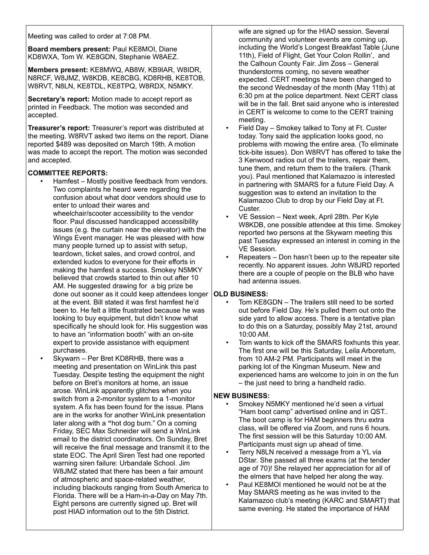Meeting was called to order at 7:08 PM.

**Board members present:** Paul KE8MOI, Diane KD8WXA, Tom W. KE8GDN, Stephanie W8AEZ.

**Members present:** KE8MWQ, AB8W, KB9IAR, W8IDR, N8RCF, W8JMZ, W8KDB, KE8CBG, KD8RHB, KE8TOB, W8RVT, N8LN, KE8TDL, KE8TPQ, W8RDX, N5MKY.

**Secretary's report:** Motion made to accept report as printed in Feedback. The motion was seconded and accepted.

**Treasurer's report:** Treasurer's report was distributed at the meeting. W8RVT asked two items on the report. Diane reported \$489 was deposited on March 19th. A motion was made to accept the report. The motion was seconded and accepted.

#### **COMMITTEE REPORTS:**

- Hamfest Mostly positive feedback from vendors. Two complaints he heard were regarding the confusion about what door vendors should use to enter to unload their wares and wheelchair/scooter accessibility to the vendor floor. Paul discussed handicapped accessibility issues (e.g. the curtain near the elevator) with the Wings Event manager. He was pleased with how many people turned up to assist with setup, teardown, ticket sales, and crowd control, and extended kudos to everyone for their efforts in making the hamfest a success. Smokey N5MKY believed that crowds started to thin out after 10 AM. He suggested drawing for a big prize be done out sooner as it could keep attendees longer **OLD BUSINESS:** at the event. Bill stated it was first hamfest he'd been to. He felt a little frustrated because he was looking to buy equipment, but didn't know what specifically he should look for. His suggestion was to have an "information booth" with an on-site expert to provide assistance with equipment purchases.
- Skywarn Per Bret KD8RHB, there was a meeting and presentation on WinLink this past Tuesday. Despite testing the equipment the night before on Bret's monitors at home, an issue arose. WinLink apparently glitches when you switch from a 2-monitor system to a 1-monitor system. A fix has been found for the issue. Plans are in the works for another WinLink presentation later along with a **"**hot dog burn." On a coming Friday, SEC Max Schneider will send a WinLink email to the district coordinators. On Sunday, Bret will receive the final message and transmit it to the state EOC. The April Siren Test had one reported warning siren failure: Urbandale School. Jim W8JMZ stated that there has been a fair amount of atmospheric and space-related weather, including blackouts ranging from South America to Florida. There will be a Ham-in-a-Day on May 7th. Eight persons are currently signed up. Bret will post HIAD information out to the 5th District.

wife are signed up for the HIAD session. Several community and volunteer events are coming up, including the World's Longest Breakfast Table (June 11th), Field of Flight, Get Your Colon Rollin', and the Calhoun County Fair. Jim Zoss – General thunderstorms coming, no severe weather expected. CERT meetings have been changed to the second Wednesday of the month (May 11th) at 6:30 pm at the police department. Next CERT class will be in the fall. Bret said anyone who is interested in CERT is welcome to come to the CERT training meeting.

- Field Day Smokey talked to Tony at Ft. Custer today. Tony said the application looks good, no problems with mowing the entire area. (To eliminate tick-bite issues). Don W8RVT has offered to take the 3 Kenwood radios out of the trailers, repair them, tune them, and return them to the trailers. (Thank you). Paul mentioned that Kalamazoo is interested in partnering with SMARS for a future Field Day. A suggestion was to extend an invitation to the Kalamazoo Club to drop by our Field Day at Ft. Custer.
- VE Session Next week, April 28th. Per Kyle W8KDB, one possible attendee at this time. Smokey reported two persons at the Skywarn meeting this past Tuesday expressed an interest in coming in the VE Session.
- Repeaters Don hasn't been up to the repeater site recently. No apparent issues. John W8JRD reported there are a couple of people on the BLB who have had antenna issues.

- Tom KE8GDN The trailers still need to be sorted out before Field Day. He's pulled them out onto the side yard to allow access. There is a tentative plan to do this on a Saturday, possibly May 21st, around 10:00 AM.
- Tom wants to kick off the SMARS foxhunts this year. The first one will be this Saturday, Leila Arboretum, from 10 AM-2 PM. Participants will meet in the parking lot of the Kingman Museum. New and experienced hams are welcome to join in on the fun – the just need to bring a handheld radio.

#### **NEW BUSINESS:**

- Smokey N5MKY mentioned he'd seen a virtual "Ham boot camp" advertised online and in QST.. The boot camp is for HAM beginners thru extra class, will be offered via Zoom, and runs 6 hours. The first session will be this Saturday 10:00 AM. Participants must sign up ahead of time.
- Terry N8LN received a message from a YL via DStar. She passed all three exams (at the tender age of 70)! She relayed her appreciation for all of the elmers that have helped her along the way.
- Paul KE8MOI mentioned he would not be at the May SMARS meeting as he was invited to the Kalamazoo club's meeting (KARC and SMART) that same evening. He stated the importance of HAM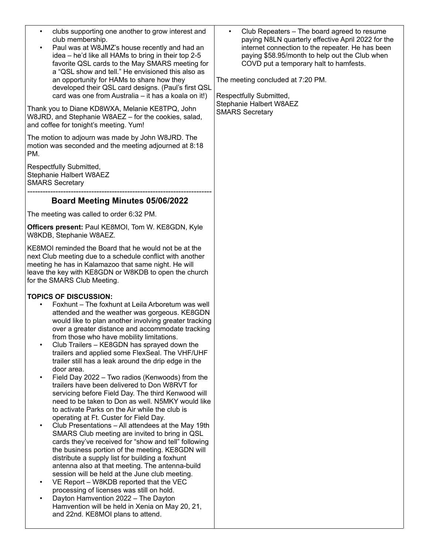| clubs supporting one another to grow interest and<br>$\bullet$<br>club membership.<br>Paul was at W8JMZ's house recently and had an<br>$\bullet$<br>idea – he'd like all HAMs to bring in their top 2-5<br>favorite QSL cards to the May SMARS meeting for<br>a "QSL show and tell." He envisioned this also as<br>an opportunity for HAMs to share how they<br>developed their QSL card designs. (Paul's first QSL<br>card was one from Australia - it has a koala on it!)<br>Thank you to Diane KD8WXA, Melanie KE8TPQ, John<br>W8JRD, and Stephanie W8AEZ - for the cookies, salad,<br>and coffee for tonight's meeting. Yum!<br>The motion to adjourn was made by John W8JRD. The<br>motion was seconded and the meeting adjourned at 8:18<br>PM.                                                                                                                                                                                                                                                                                                                                                                                                                                                                                                                                                                                                                                                                     | Club Repeaters - The board agreed to resume<br>$\bullet$<br>paying N8LN quarterly effective April 2022 for the<br>internet connection to the repeater. He has been<br>paying \$58.95/month to help out the Club when<br>COVD put a temporary halt to hamfests.<br>The meeting concluded at 7:20 PM.<br>Respectfully Submitted,<br>Stephanie Halbert W8AEZ<br><b>SMARS Secretary</b> |
|---------------------------------------------------------------------------------------------------------------------------------------------------------------------------------------------------------------------------------------------------------------------------------------------------------------------------------------------------------------------------------------------------------------------------------------------------------------------------------------------------------------------------------------------------------------------------------------------------------------------------------------------------------------------------------------------------------------------------------------------------------------------------------------------------------------------------------------------------------------------------------------------------------------------------------------------------------------------------------------------------------------------------------------------------------------------------------------------------------------------------------------------------------------------------------------------------------------------------------------------------------------------------------------------------------------------------------------------------------------------------------------------------------------------------|-------------------------------------------------------------------------------------------------------------------------------------------------------------------------------------------------------------------------------------------------------------------------------------------------------------------------------------------------------------------------------------|
| Respectfully Submitted,<br>Stephanie Halbert W8AEZ<br><b>SMARS Secretary</b>                                                                                                                                                                                                                                                                                                                                                                                                                                                                                                                                                                                                                                                                                                                                                                                                                                                                                                                                                                                                                                                                                                                                                                                                                                                                                                                                              |                                                                                                                                                                                                                                                                                                                                                                                     |
| <b>Board Meeting Minutes 05/06/2022</b>                                                                                                                                                                                                                                                                                                                                                                                                                                                                                                                                                                                                                                                                                                                                                                                                                                                                                                                                                                                                                                                                                                                                                                                                                                                                                                                                                                                   |                                                                                                                                                                                                                                                                                                                                                                                     |
| The meeting was called to order 6:32 PM.                                                                                                                                                                                                                                                                                                                                                                                                                                                                                                                                                                                                                                                                                                                                                                                                                                                                                                                                                                                                                                                                                                                                                                                                                                                                                                                                                                                  |                                                                                                                                                                                                                                                                                                                                                                                     |
| Officers present: Paul KE8MOI, Tom W. KE8GDN, Kyle<br>W8KDB, Stephanie W8AEZ.                                                                                                                                                                                                                                                                                                                                                                                                                                                                                                                                                                                                                                                                                                                                                                                                                                                                                                                                                                                                                                                                                                                                                                                                                                                                                                                                             |                                                                                                                                                                                                                                                                                                                                                                                     |
| KE8MOI reminded the Board that he would not be at the<br>next Club meeting due to a schedule conflict with another<br>meeting he has in Kalamazoo that same night. He will<br>leave the key with KE8GDN or W8KDB to open the church<br>for the SMARS Club Meeting.                                                                                                                                                                                                                                                                                                                                                                                                                                                                                                                                                                                                                                                                                                                                                                                                                                                                                                                                                                                                                                                                                                                                                        |                                                                                                                                                                                                                                                                                                                                                                                     |
| <b>TOPICS OF DISCUSSION:</b><br>Foxhunt – The foxhunt at Leila Arboretum was well<br>attended and the weather was gorgeous. KE8GDN<br>would like to plan another involving greater tracking<br>over a greater distance and accommodate tracking<br>from those who have mobility limitations.<br>Club Trailers - KE8GDN has sprayed down the<br>trailers and applied some FlexSeal. The VHF/UHF<br>trailer still has a leak around the drip edge in the<br>door area.<br>Field Day 2022 - Two radios (Kenwoods) from the<br>trailers have been delivered to Don W8RVT for<br>servicing before Field Day. The third Kenwood will<br>need to be taken to Don as well. N5MKY would like<br>to activate Parks on the Air while the club is<br>operating at Ft. Custer for Field Day.<br>Club Presentations - All attendees at the May 19th<br>$\bullet$<br>SMARS Club meeting are invited to bring in QSL<br>cards they've received for "show and tell" following<br>the business portion of the meeting. KE8GDN will<br>distribute a supply list for building a foxhunt<br>antenna also at that meeting. The antenna-build<br>session will be held at the June club meeting.<br>VE Report - W8KDB reported that the VEC<br>$\bullet$<br>processing of licenses was still on hold.<br>Dayton Hamvention 2022 - The Dayton<br>$\bullet$<br>Hamvention will be held in Xenia on May 20, 21,<br>and 22nd. KE8MOI plans to attend. |                                                                                                                                                                                                                                                                                                                                                                                     |